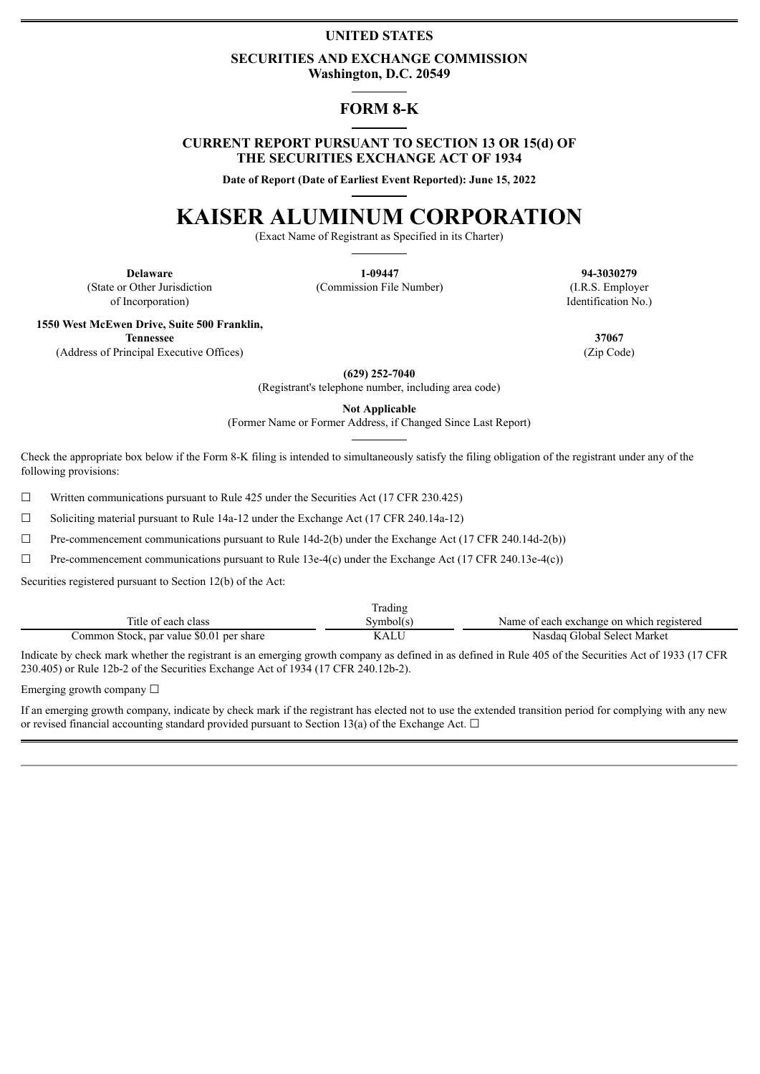# **UNITED STATES**

### **SECURITIES AND EXCHANGE COMMISSION Washington, D.C. 20549**

# **FORM 8-K**

## **CURRENT REPORT PURSUANT TO SECTION 13 OR 15(d) OF THE SECURITIES EXCHANGE ACT OF 1934**

**Date of Report (Date of Earliest Event Reported): June 15, 2022**

# **KAISER ALUMINUM CORPORATION**

(Exact Name of Registrant as Specified in its Charter)

(State or Other Jurisdiction of Incorporation)

**Delaware 1-09447 94-3030279** (Commission File Number) (I.R.S. Employer

Identification No.)

**1550 West McEwen Drive, Suite 500 Franklin,**

(Address of Principal Executive Offices) (Zip Code)

**(629) 252-7040**

(Registrant's telephone number, including area code)

**Not Applicable**

(Former Name or Former Address, if Changed Since Last Report)

Check the appropriate box below if the Form 8-K filing is intended to simultaneously satisfy the filing obligation of the registrant under any of the following provisions:

 $\Box$  Written communications pursuant to Rule 425 under the Securities Act (17 CFR 230.425)

 $\Box$  Soliciting material pursuant to Rule 14a-12 under the Exchange Act (17 CFR 240.14a-12)

 $\Box$  Pre-commencement communications pursuant to Rule 14d-2(b) under the Exchange Act (17 CFR 240.14d-2(b))

 $\Box$  Pre-commencement communications pursuant to Rule 13e-4(c) under the Exchange Act (17 CFR 240.13e-4(c))

Securities registered pursuant to Section 12(b) of the Act:

|                                          | Trading   |                                           |
|------------------------------------------|-----------|-------------------------------------------|
| Title of each class                      | Svmbol(s) | Name of each exchange on which registered |
| Common Stock, par value \$0.01 per share | KALU      | Nasdaq Global Select Market               |

Indicate by check mark whether the registrant is an emerging growth company as defined in as defined in Rule 405 of the Securities Act of 1933 (17 CFR 230.405) or Rule 12b-2 of the Securities Exchange Act of 1934 (17 CFR 240.12b-2).

Emerging growth company  $\Box$ 

If an emerging growth company, indicate by check mark if the registrant has elected not to use the extended transition period for complying with any new or revised financial accounting standard provided pursuant to Section 13(a) of the Exchange Act.  $\Box$ 

**Tennessee 37067**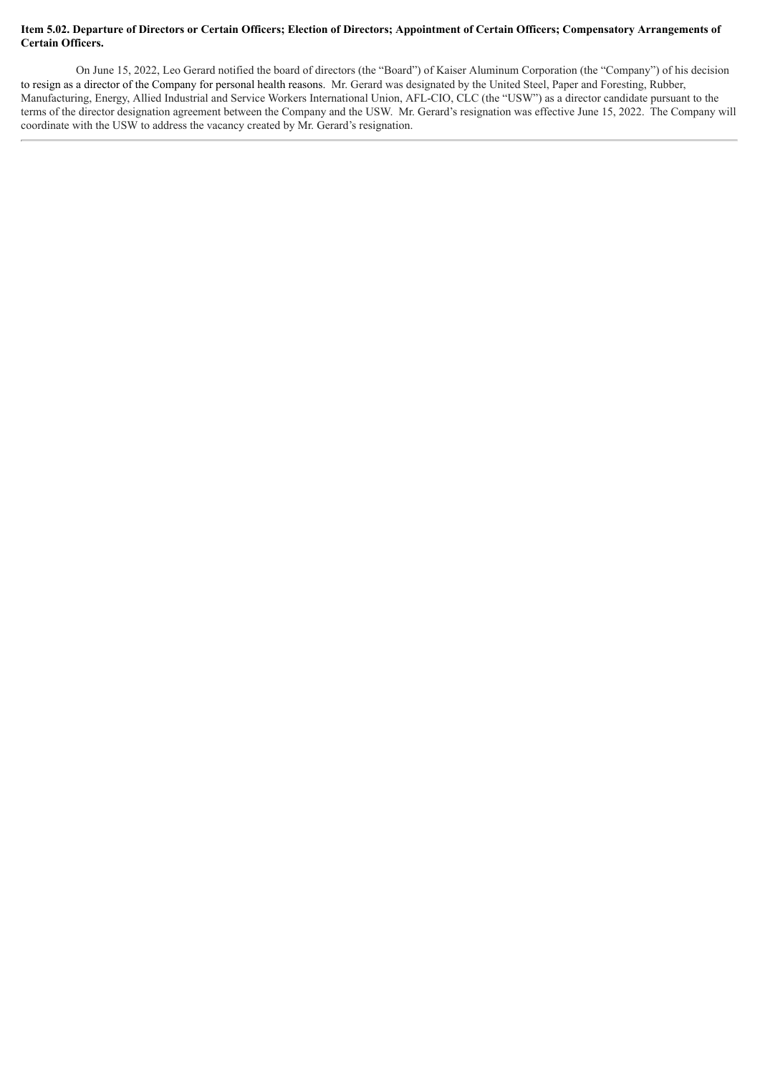### Item 5.02. Departure of Directors or Certain Officers; Election of Directors; Appointment of Certain Officers; Compensatory Arrangements of **Certain Officers.**

On June 15, 2022, Leo Gerard notified the board of directors (the "Board") of Kaiser Aluminum Corporation (the "Company") of his decision to resign as a director of the Company for personal health reasons. Mr. Gerard was designated by the United Steel, Paper and Foresting, Rubber, Manufacturing, Energy, Allied Industrial and Service Workers International Union, AFL-CIO, CLC (the "USW") as a director candidate pursuant to the terms of the director designation agreement between the Company and the USW. Mr. Gerard's resignation was effective June 15, 2022. The Company will coordinate with the USW to address the vacancy created by Mr. Gerard's resignation.